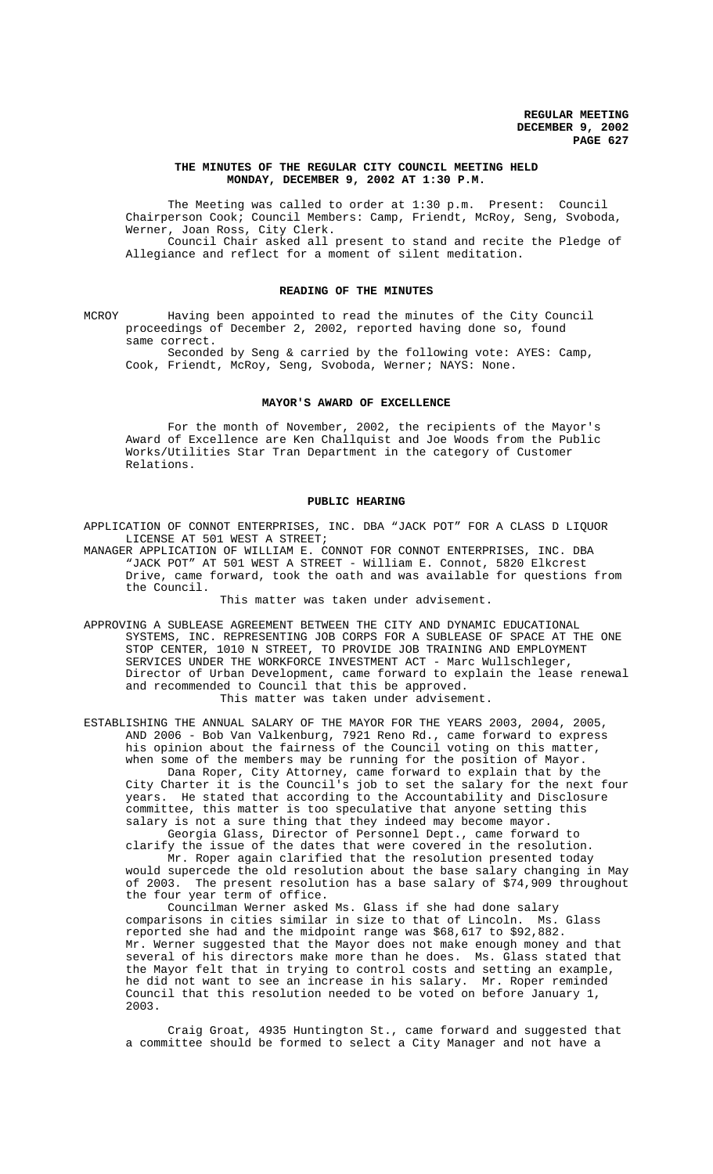## **THE MINUTES OF THE REGULAR CITY COUNCIL MEETING HELD MONDAY, DECEMBER 9, 2002 AT 1:30 P.M.**

The Meeting was called to order at 1:30 p.m. Present: Council Chairperson Cook; Council Members: Camp, Friendt, McRoy, Seng, Svoboda, Werner, Joan Ross, City Clerk. Council Chair asked all present to stand and recite the Pledge of Allegiance and reflect for a moment of silent meditation.

#### **READING OF THE MINUTES**

MCROY Having been appointed to read the minutes of the City Council proceedings of December 2, 2002, reported having done so, found same correct.

Seconded by Seng & carried by the following vote: AYES: Camp, Cook, Friendt, McRoy, Seng, Svoboda, Werner; NAYS: None.

## **MAYOR'S AWARD OF EXCELLENCE**

For the month of November, 2002, the recipients of the Mayor's Award of Excellence are Ken Challquist and Joe Woods from the Public Works/Utilities Star Tran Department in the category of Customer Relations.

#### **PUBLIC HEARING**

APPLICATION OF CONNOT ENTERPRISES, INC. DBA "JACK POT" FOR A CLASS D LIQUOR LICENSE AT 501 WEST A STREET;

MANAGER APPLICATION OF WILLIAM E. CONNOT FOR CONNOT ENTERPRISES, INC. DBA "JACK POT" AT 501 WEST A STREET - William E. Connot, 5820 Elkcrest Drive, came forward, took the oath and was available for questions from the Council.

This matter was taken under advisement.

APPROVING A SUBLEASE AGREEMENT BETWEEN THE CITY AND DYNAMIC EDUCATIONAL SYSTEMS, INC. REPRESENTING JOB CORPS FOR A SUBLEASE OF SPACE AT THE ONE STOP CENTER, 1010 N STREET, TO PROVIDE JOB TRAINING AND EMPLOYMENT SERVICES UNDER THE WORKFORCE INVESTMENT ACT - Marc Wullschleger, Director of Urban Development, came forward to explain the lease renewal and recommended to Council that this be approved. This matter was taken under advisement.

ESTABLISHING THE ANNUAL SALARY OF THE MAYOR FOR THE YEARS 2003, 2004, 2005, AND 2006 - Bob Van Valkenburg, 7921 Reno Rd., came forward to express his opinion about the fairness of the Council voting on this matter, when some of the members may be running for the position of Mayor. Dana Roper, City Attorney, came forward to explain that by the City Charter it is the Council's job to set the salary for the next four years. He stated that according to the Accountability and Disclosure committee, this matter is too speculative that anyone setting this salary is not a sure thing that they indeed may become mayor.

Georgia Glass, Director of Personnel Dept., came forward to clarify the issue of the dates that were covered in the resolution. Mr. Roper again clarified that the resolution presented today would supercede the old resolution about the base salary changing in May of 2003. The present resolution has a base salary of \$74,909 throughout the four year term of office.

Councilman Werner asked Ms. Glass if she had done salary comparisons in cities similar in size to that of Lincoln. Ms. Glass reported she had and the midpoint range was \$68,617 to \$92,882. Mr. Werner suggested that the Mayor does not make enough money and that several of his directors make more than he does. Ms. Glass stated that the Mayor felt that in trying to control costs and setting an example, he did not want to see an increase in his salary. Mr. Roper reminded Council that this resolution needed to be voted on before January 1, 2003.

Craig Groat, 4935 Huntington St., came forward and suggested that a committee should be formed to select a City Manager and not have a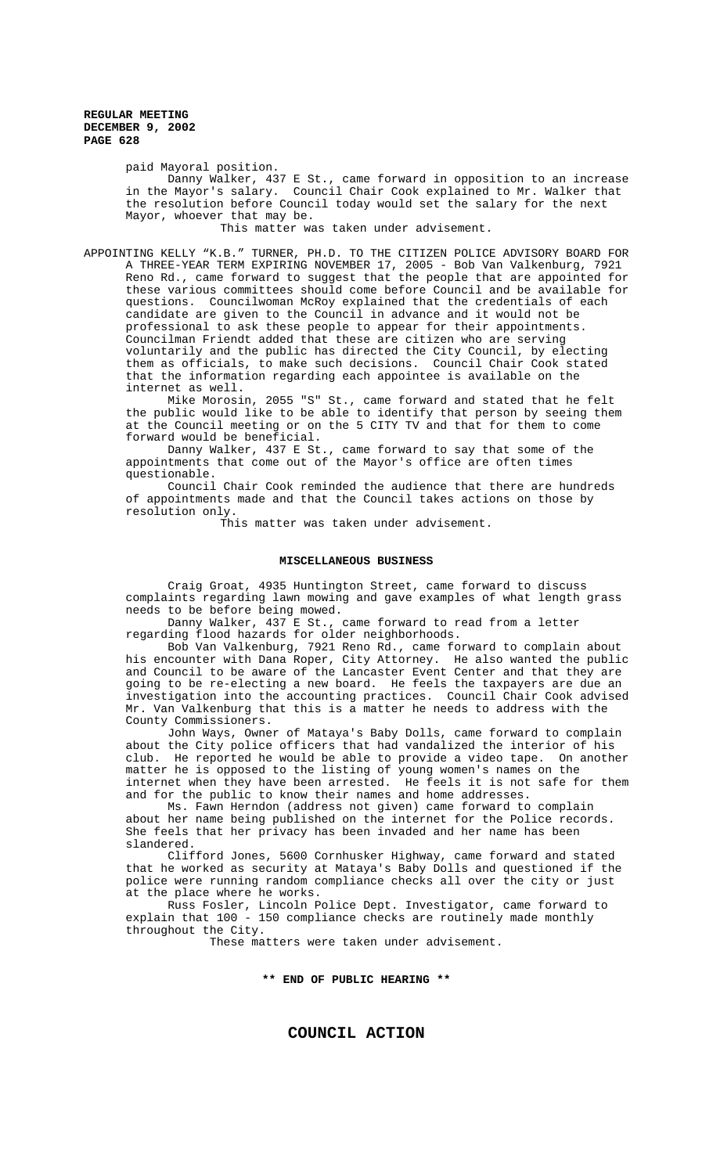paid Mayoral position.

Danny Walker, 437 E St., came forward in opposition to an increase in the Mayor's salary. Council Chair Cook explained to Mr. Walker that the resolution before Council today would set the salary for the next Mayor, whoever that may be.

This matter was taken under advisement.

APPOINTING KELLY "K.B." TURNER, PH.D. TO THE CITIZEN POLICE ADVISORY BOARD FOR A THREE-YEAR TERM EXPIRING NOVEMBER 17, 2005 - Bob Van Valkenburg, 7921 Reno Rd., came forward to suggest that the people that are appointed for these various committees should come before Council and be available for questions. Councilwoman McRoy explained that the credentials of each candidate are given to the Council in advance and it would not be professional to ask these people to appear for their appointments. Councilman Friendt added that these are citizen who are serving voluntarily and the public has directed the City Council, by electing them as officials, to make such decisions. Council Chair Cook stated that the information regarding each appointee is available on the internet as well.

Mike Morosin, 2055 "S" St., came forward and stated that he felt the public would like to be able to identify that person by seeing them at the Council meeting or on the 5 CITY TV and that for them to come forward would be beneficial.

Danny Walker, 437 E St., came forward to say that some of the appointments that come out of the Mayor's office are often times questionable.

Council Chair Cook reminded the audience that there are hundreds of appointments made and that the Council takes actions on those by resolution only.

This matter was taken under advisement.

## **MISCELLANEOUS BUSINESS**

Craig Groat, 4935 Huntington Street, came forward to discuss complaints regarding lawn mowing and gave examples of what length grass needs to be before being mowed.

Danny Walker, 437 E St., came forward to read from a letter regarding flood hazards for older neighborhoods.

Bob Van Valkenburg, 7921 Reno Rd., came forward to complain about his encounter with Dana Roper, City Attorney. He also wanted the public and Council to be aware of the Lancaster Event Center and that they are going to be re-electing a new board. He feels the taxpayers are due an investigation into the accounting practices. Council Chair Cook advised Mr. Van Valkenburg that this is a matter he needs to address with the County Commissioners.

John Ways, Owner of Mataya's Baby Dolls, came forward to complain about the City police officers that had vandalized the interior of his club. He reported he would be able to provide a video tape. On another matter he is opposed to the listing of young women's names on the internet when they have been arrested. He feels it is not safe for them and for the public to know their names and home addresses.

Ms. Fawn Herndon (address not given) came forward to complain about her name being published on the internet for the Police records. She feels that her privacy has been invaded and her name has been slandered.

Clifford Jones, 5600 Cornhusker Highway, came forward and stated that he worked as security at Mataya's Baby Dolls and questioned if the police were running random compliance checks all over the city or just at the place where he works.

Russ Fosler, Lincoln Police Dept. Investigator, came forward to explain that 100 - 150 compliance checks are routinely made monthly throughout the City.

These matters were taken under advisement.

**\*\* END OF PUBLIC HEARING \*\***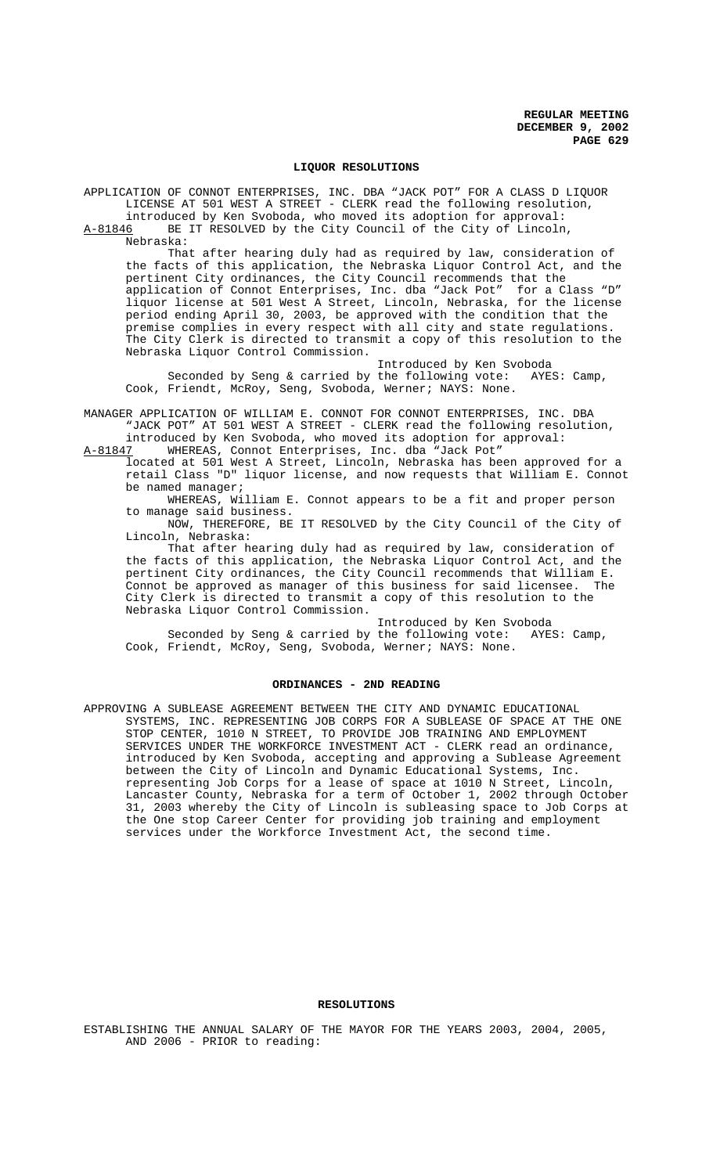## **LIQUOR RESOLUTIONS**

APPLICATION OF CONNOT ENTERPRISES, INC. DBA "JACK POT" FOR A CLASS D LIQUOR LICENSE AT 501 WEST A STREET - CLERK read the following resolution, introduced by Ken Svoboda, who moved its adoption for approval:

A-81846 BE IT RESOLVED by the City Council of the City of Lincoln, Nebraska:

That after hearing duly had as required by law, consideration of the facts of this application, the Nebraska Liquor Control Act, and the pertinent City ordinances, the City Council recommends that the application of Connot Enterprises, Inc. dba "Jack Pot" for a Class "D" liquor license at 501 West A Street, Lincoln, Nebraska, for the license period ending April 30, 2003, be approved with the condition that the premise complies in every respect with all city and state regulations. The City Clerk is directed to transmit a copy of this resolution to the Nebraska Liquor Control Commission.

Introduced by Ken Svoboda<br>the following vote: AYES: Camp, Seconded by Seng & carried by the following vote: AYES: Camp, Cook, Friendt, McRoy, Seng, Svoboda, Werner; NAYS: None.

MANAGER APPLICATION OF WILLIAM E. CONNOT FOR CONNOT ENTERPRISES, INC. DBA "JACK POT" AT 501 WEST A STREET - CLERK read the following resolution, introduced by Ken Svoboda, who moved its adoption for approval:

A-81847 WHEREAS, Connot Enterprises, Inc. dba "Jack Pot"

located at 501 West A Street, Lincoln, Nebraska has been approved for a retail Class "D" liquor license, and now requests that William E. Connot be named manager;

WHEREAS, William E. Connot appears to be a fit and proper person to manage said business.

NOW, THEREFORE, BE IT RESOLVED by the City Council of the City of Lincoln, Nebraska:

That after hearing duly had as required by law, consideration of the facts of this application, the Nebraska Liquor Control Act, and the pertinent City ordinances, the City Council recommends that William E. Connot be approved as manager of this business for said licensee. The City Clerk is directed to transmit a copy of this resolution to the Nebraska Liquor Control Commission.

Introduced by Ken Svoboda<br>the following vote: AYES: Camp, Seconded by Seng & carried by the following vote: AYES: Camp, Cook, Friendt, McRoy, Seng, Svoboda, Werner; NAYS: None.

#### **ORDINANCES - 2ND READING**

APPROVING A SUBLEASE AGREEMENT BETWEEN THE CITY AND DYNAMIC EDUCATIONAL SYSTEMS, INC. REPRESENTING JOB CORPS FOR A SUBLEASE OF SPACE AT THE ONE STOP CENTER, 1010 N STREET, TO PROVIDE JOB TRAINING AND EMPLOYMENT SERVICES UNDER THE WORKFORCE INVESTMENT ACT - CLERK read an ordinance, introduced by Ken Svoboda, accepting and approving a Sublease Agreement between the City of Lincoln and Dynamic Educational Systems, Inc. representing Job Corps for a lease of space at 1010 N Street, Lincoln, Lancaster County, Nebraska for a term of October 1, 2002 through October 31, 2003 whereby the City of Lincoln is subleasing space to Job Corps at the One stop Career Center for providing job training and employment services under the Workforce Investment Act, the second time.

#### **RESOLUTIONS**

ESTABLISHING THE ANNUAL SALARY OF THE MAYOR FOR THE YEARS 2003, 2004, 2005, AND 2006 - PRIOR to reading: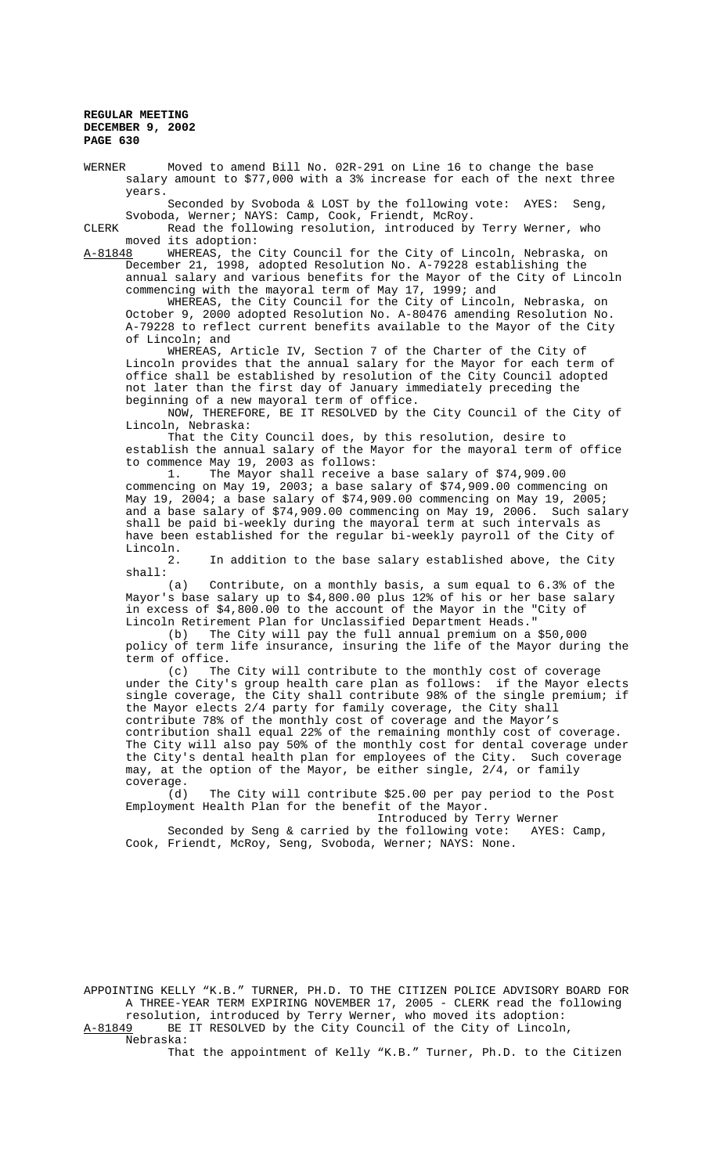WERNER Moved to amend Bill No. 02R-291 on Line 16 to change the base salary amount to \$77,000 with a 3% increase for each of the next three years.

Seconded by Svoboda & LOST by the following vote: AYES: Seng, Svoboda, Werner; NAYS: Camp, Cook, Friendt, McRoy.

CLERK Read the following resolution, introduced by Terry Werner, who moved its adoption:

A-81848 MHEREAS, the City Council for the City of Lincoln, Nebraska, on December 21, 1998, adopted Resolution No. A-79228 establishing the annual salary and various benefits for the Mayor of the City of Lincoln commencing with the mayoral term of May 17, 1999; and

WHEREAS, the City Council for the City of Lincoln, Nebraska, on October 9, 2000 adopted Resolution No. A-80476 amending Resolution No. A-79228 to reflect current benefits available to the Mayor of the City of Lincoln; and

WHEREAS, Article IV, Section 7 of the Charter of the City of Lincoln provides that the annual salary for the Mayor for each term of office shall be established by resolution of the City Council adopted not later than the first day of January immediately preceding the beginning of a new mayoral term of office.

NOW, THEREFORE, BE IT RESOLVED by the City Council of the City of Lincoln, Nebraska:

That the City Council does, by this resolution, desire to establish the annual salary of the Mayor for the mayoral term of office to commence May 19, 2003 as follows:

1. The Mayor shall receive a base salary of \$74,909.00 commencing on May 19, 2003; a base salary of \$74,909.00 commencing on May 19, 2004; a base salary of \$74,909.00 commencing on May 19, 2005; and a base salary of \$74,909.00 commencing on May 19, 2006. Such salary shall be paid bi-weekly during the mayoral term at such intervals as have been established for the regular bi-weekly payroll of the City of Lincoln.

2. In addition to the base salary established above, the City shall:

(a) Contribute, on a monthly basis, a sum equal to 6.3% of the Mayor's base salary up to \$4,800.00 plus 12% of his or her base salary in excess of \$4,800.00 to the account of the Mayor in the "City of Lincoln Retirement Plan for Unclassified Department Heads."<br>(b) The City will pay the full annual premium on a

The City will pay the full annual premium on a \$50,000 policy of term life insurance, insuring the life of the Mayor during the term of office.

(c) The City will contribute to the monthly cost of coverage under the City's group health care plan as follows: if the Mayor elects single coverage, the City shall contribute 98% of the single premium; if the Mayor elects 2/4 party for family coverage, the City shall contribute 78% of the monthly cost of coverage and the Mayor's contribution shall equal 22% of the remaining monthly cost of coverage. The City will also pay 50% of the monthly cost for dental coverage under the City's dental health plan for employees of the City. Such coverage may, at the option of the Mayor, be either single, 2/4, or family coverage.<br>(d)

The City will contribute \$25.00 per pay period to the Post Employment Health Plan for the benefit of the Mayor.

Introduced by Terry Werner

Seconded by Seng & carried by the following vote: AYES: Camp, Cook, Friendt, McRoy, Seng, Svoboda, Werner; NAYS: None.

APPOINTING KELLY "K.B." TURNER, PH.D. TO THE CITIZEN POLICE ADVISORY BOARD FOR A THREE-YEAR TERM EXPIRING NOVEMBER 17, 2005 - CLERK read the following resolution, introduced by Terry Werner, who moved its adoption: A-81849 BE IT RESOLVED by the City Council of the City of Lincoln,

Nebraska:

That the appointment of Kelly "K.B." Turner, Ph.D. to the Citizen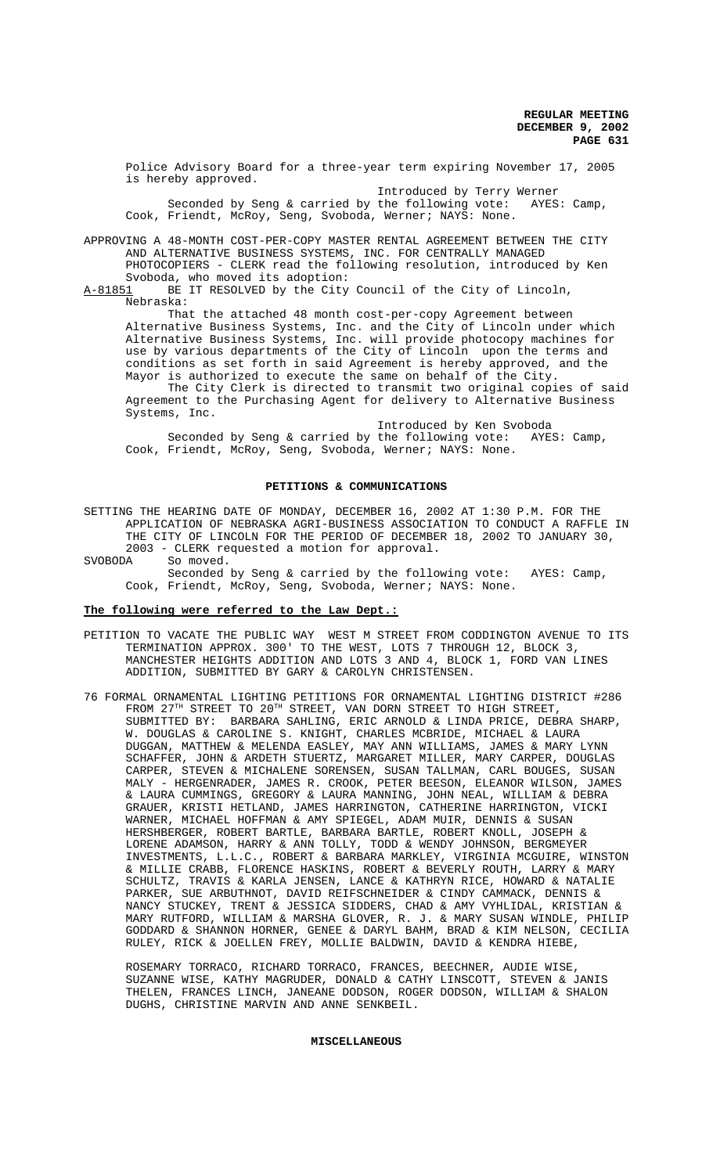Police Advisory Board for a three-year term expiring November 17, 2005 is hereby approved.

Introduced by Terry Werner Seconded by Seng & carried by the following vote: AYES: Camp, Cook, Friendt, McRoy, Seng, Svoboda, Werner; NAYS: None.

APPROVING A 48-MONTH COST-PER-COPY MASTER RENTAL AGREEMENT BETWEEN THE CITY AND ALTERNATIVE BUSINESS SYSTEMS, INC. FOR CENTRALLY MANAGED PHOTOCOPIERS - CLERK read the following resolution, introduced by Ken

Svoboda, who moved its adoption:<br>A-81851 BE IT RESOLVED by the City BE IT RESOLVED by the City Council of the City of Lincoln, Nebraska:

That the attached 48 month cost-per-copy Agreement between Alternative Business Systems, Inc. and the City of Lincoln under which Alternative Business Systems, Inc. will provide photocopy machines for use by various departments of the City of Lincoln upon the terms and conditions as set forth in said Agreement is hereby approved, and the Mayor is authorized to execute the same on behalf of the City.

The City Clerk is directed to transmit two original copies of said Agreement to the Purchasing Agent for delivery to Alternative Business Systems, Inc.

Introduced by Ken Svoboda Seconded by Seng & carried by the following vote: AYES: Camp, Cook, Friendt, McRoy, Seng, Svoboda, Werner; NAYS: None.

#### **PETITIONS & COMMUNICATIONS**

SETTING THE HEARING DATE OF MONDAY, DECEMBER 16, 2002 AT 1:30 P.M. FOR THE APPLICATION OF NEBRASKA AGRI-BUSINESS ASSOCIATION TO CONDUCT A RAFFLE IN THE CITY OF LINCOLN FOR THE PERIOD OF DECEMBER 18, 2002 TO JANUARY 30, 2003 - CLERK requested a motion for approval.

SVOBODA So moved. Seconded by Seng & carried by the following vote: AYES: Camp, Cook, Friendt, McRoy, Seng, Svoboda, Werner; NAYS: None.

## **The following were referred to the Law Dept.:**

- PETITION TO VACATE THE PUBLIC WAY WEST M STREET FROM CODDINGTON AVENUE TO ITS TERMINATION APPROX. 300' TO THE WEST, LOTS 7 THROUGH 12, BLOCK 3, MANCHESTER HEIGHTS ADDITION AND LOTS 3 AND 4, BLOCK 1, FORD VAN LINES ADDITION, SUBMITTED BY GARY & CAROLYN CHRISTENSEN.
- 76 FORMAL ORNAMENTAL LIGHTING PETITIONS FOR ORNAMENTAL LIGHTING DISTRICT #286 FROM 27 $^{TH}$  STREET TO 20 $^{TH}$  STREET, VAN DORN STREET TO HIGH STREET, SUBMITTED BY: BARBARA SAHLING, ERIC ARNOLD & LINDA PRICE, DEBRA SHARP, W. DOUGLAS & CAROLINE S. KNIGHT, CHARLES MCBRIDE, MICHAEL & LAURA DUGGAN, MATTHEW & MELENDA EASLEY, MAY ANN WILLIAMS, JAMES & MARY LYNN SCHAFFER, JOHN & ARDETH STUERTZ, MARGARET MILLER, MARY CARPER, DOUGLAS CARPER, STEVEN & MICHALENE SORENSEN, SUSAN TALLMAN, CARL BOUGES, SUSAN MALY - HERGENRADER, JAMES R. CROOK, PETER BEESON, ELEANOR WILSON, JAMES & LAURA CUMMINGS, GREGORY & LAURA MANNING, JOHN NEAL, WILLIAM & DEBRA GRAUER, KRISTI HETLAND, JAMES HARRINGTON, CATHERINE HARRINGTON, VICKI WARNER, MICHAEL HOFFMAN & AMY SPIEGEL, ADAM MUIR, DENNIS & SUSAN HERSHBERGER, ROBERT BARTLE, BARBARA BARTLE, ROBERT KNOLL, JOSEPH & LORENE ADAMSON, HARRY & ANN TOLLY, TODD & WENDY JOHNSON, BERGMEYER INVESTMENTS, L.L.C., ROBERT & BARBARA MARKLEY, VIRGINIA MCGUIRE, WINSTON & MILLIE CRABB, FLORENCE HASKINS, ROBERT & BEVERLY ROUTH, LARRY & MARY SCHULTZ, TRAVIS & KARLA JENSEN, LANCE & KATHRYN RICE, HOWARD & NATALIE PARKER, SUE ARBUTHNOT, DAVID REIFSCHNEIDER & CINDY CAMMACK, DENNIS & NANCY STUCKEY, TRENT & JESSICA SIDDERS, CHAD & AMY VYHLIDAL, KRISTIAN & MARY RUTFORD, WILLIAM & MARSHA GLOVER, R. J. & MARY SUSAN WINDLE, PHILIP GODDARD & SHANNON HORNER, GENEE & DARYL BAHM, BRAD & KIM NELSON, CECILIA RULEY, RICK & JOELLEN FREY, MOLLIE BALDWIN, DAVID & KENDRA HIEBE,

ROSEMARY TORRACO, RICHARD TORRACO, FRANCES, BEECHNER, AUDIE WISE, SUZANNE WISE, KATHY MAGRUDER, DONALD & CATHY LINSCOTT, STEVEN & JANIS THELEN, FRANCES LINCH, JANEANE DODSON, ROGER DODSON, WILLIAM & SHALON DUGHS, CHRISTINE MARVIN AND ANNE SENKBEIL.

#### **MISCELLANEOUS**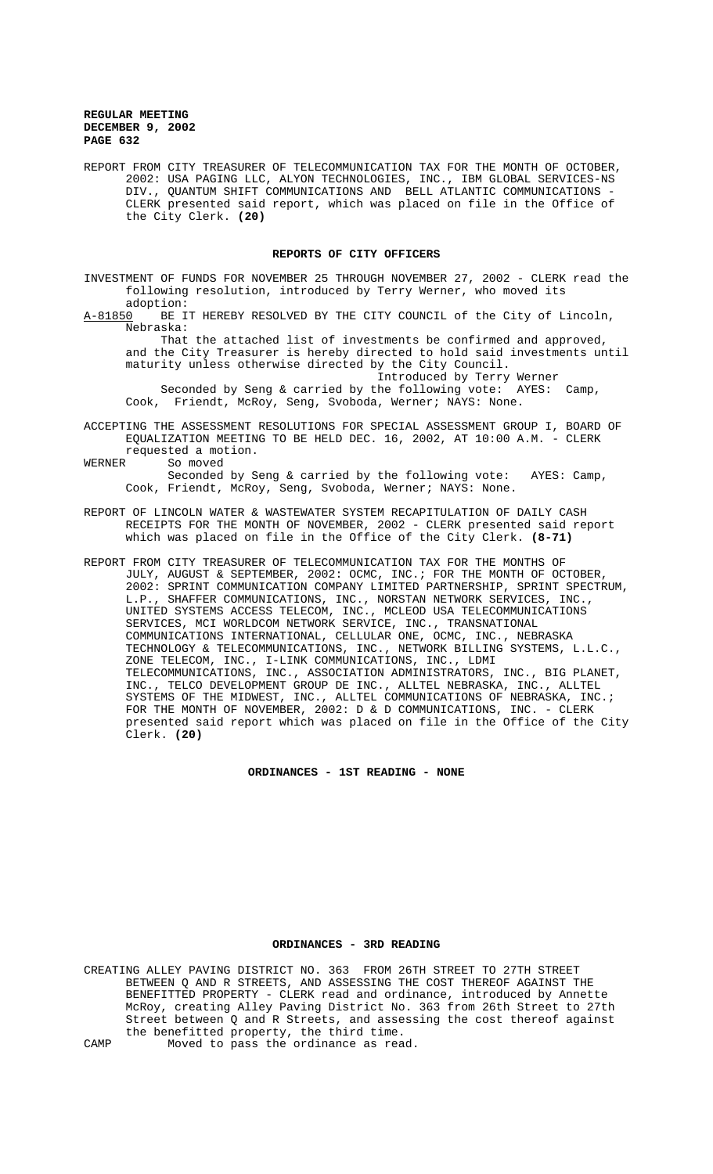REPORT FROM CITY TREASURER OF TELECOMMUNICATION TAX FOR THE MONTH OF OCTOBER, 2002: USA PAGING LLC, ALYON TECHNOLOGIES, INC., IBM GLOBAL SERVICES-NS DIV., QUANTUM SHIFT COMMUNICATIONS AND BELL ATLANTIC COMMUNICATIONS - CLERK presented said report, which was placed on file in the Office of the City Clerk. **(20)**

# **REPORTS OF CITY OFFICERS**

INVESTMENT OF FUNDS FOR NOVEMBER 25 THROUGH NOVEMBER 27, 2002 - CLERK read the following resolution, introduced by Terry Werner, who moved its adoption:

A-81850 BE IT HEREBY RESOLVED BY THE CITY COUNCIL of the City of Lincoln, Nebraska:

 That the attached list of investments be confirmed and approved, and the City Treasurer is hereby directed to hold said investments until maturity unless otherwise directed by the City Council.

Introduced by Terry Werner Seconded by Seng & carried by the following vote: AYES: Camp,

Cook, Friendt, McRoy, Seng, Svoboda, Werner; NAYS: None.

ACCEPTING THE ASSESSMENT RESOLUTIONS FOR SPECIAL ASSESSMENT GROUP I, BOARD OF EQUALIZATION MEETING TO BE HELD DEC. 16, 2002, AT 10:00 A.M. - CLERK requested a motion.

WERNER So moved Seconded by Seng & carried by the following vote: AYES: Camp, Cook, Friendt, McRoy, Seng, Svoboda, Werner; NAYS: None.

- REPORT OF LINCOLN WATER & WASTEWATER SYSTEM RECAPITULATION OF DAILY CASH RECEIPTS FOR THE MONTH OF NOVEMBER, 2002 - CLERK presented said report which was placed on file in the Office of the City Clerk. **(8-71)**
- REPORT FROM CITY TREASURER OF TELECOMMUNICATION TAX FOR THE MONTHS OF JULY, AUGUST & SEPTEMBER, 2002: OCMC, INC.; FOR THE MONTH OF OCTOBER, 2002: SPRINT COMMUNICATION COMPANY LIMITED PARTNERSHIP, SPRINT SPECTRUM, L.P., SHAFFER COMMUNICATIONS, INC., NORSTAN NETWORK SERVICES, INC., UNITED SYSTEMS ACCESS TELECOM, INC., MCLEOD USA TELECOMMUNICATIONS SERVICES, MCI WORLDCOM NETWORK SERVICE, INC., TRANSNATIONAL COMMUNICATIONS INTERNATIONAL, CELLULAR ONE, OCMC, INC., NEBRASKA TECHNOLOGY & TELECOMMUNICATIONS, INC., NETWORK BILLING SYSTEMS, L.L.C., ZONE TELECOM, INC., I-LINK COMMUNICATIONS, INC., LDMI TELECOMMUNICATIONS, INC., ASSOCIATION ADMINISTRATORS, INC., BIG PLANET, INC., TELCO DEVELOPMENT GROUP DE INC., ALLTEL NEBRASKA, INC., ALLTEL SYSTEMS OF THE MIDWEST, INC., ALLTEL COMMUNICATIONS OF NEBRASKA, INC.; FOR THE MONTH OF NOVEMBER, 2002: D & D COMMUNICATIONS, INC. - CLERK presented said report which was placed on file in the Office of the City Clerk. **(20)**

**ORDINANCES - 1ST READING - NONE**

## **ORDINANCES - 3RD READING**

CREATING ALLEY PAVING DISTRICT NO. 363 FROM 26TH STREET TO 27TH STREET BETWEEN Q AND R STREETS, AND ASSESSING THE COST THEREOF AGAINST THE BENEFITTED PROPERTY - CLERK read and ordinance, introduced by Annette McRoy, creating Alley Paving District No. 363 from 26th Street to 27th Street between Q and R Streets, and assessing the cost thereof against the benefitted property, the third time.

CAMP Moved to pass the ordinance as read.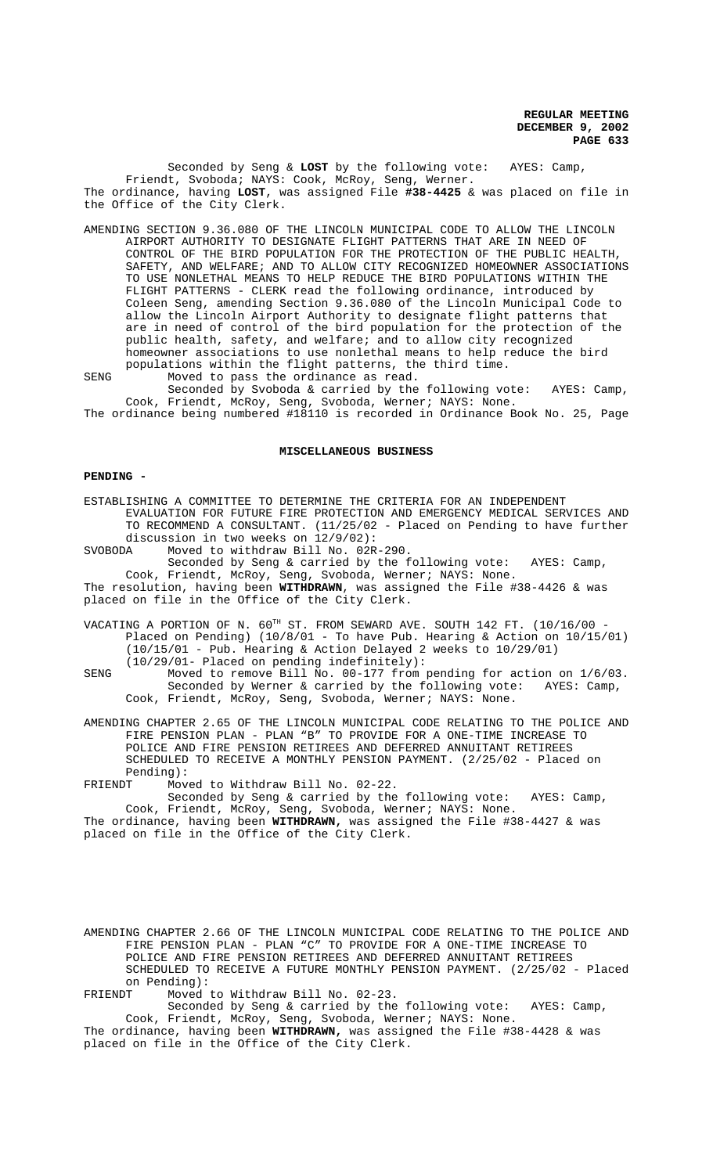Seconded by Seng & **LOST** by the following vote: AYES: Camp, Friendt, Svoboda; NAYS: Cook, McRoy, Seng, Werner. The ordinance, having **LOST**, was assigned File **#38-4425** & was placed on file in the Office of the City Clerk.

AMENDING SECTION 9.36.080 OF THE LINCOLN MUNICIPAL CODE TO ALLOW THE LINCOLN AIRPORT AUTHORITY TO DESIGNATE FLIGHT PATTERNS THAT ARE IN NEED OF CONTROL OF THE BIRD POPULATION FOR THE PROTECTION OF THE PUBLIC HEALTH, SAFETY, AND WELFARE; AND TO ALLOW CITY RECOGNIZED HOMEOWNER ASSOCIATIONS TO USE NONLETHAL MEANS TO HELP REDUCE THE BIRD POPULATIONS WITHIN THE FLIGHT PATTERNS - CLERK read the following ordinance, introduced by Coleen Seng, amending Section 9.36.080 of the Lincoln Municipal Code to allow the Lincoln Airport Authority to designate flight patterns that are in need of control of the bird population for the protection of the public health, safety, and welfare; and to allow city recognized homeowner associations to use nonlethal means to help reduce the bird populations within the flight patterns, the third time.

SENG Moved to pass the ordinance as read. Seconded by Svoboda & carried by the following vote: AYES: Camp,

Cook, Friendt, McRoy, Seng, Svoboda, Werner; NAYS: None. The ordinance being numbered #18110 is recorded in Ordinance Book No. 25, Page

# **MISCELLANEOUS BUSINESS**

#### **PENDING -**

ESTABLISHING A COMMITTEE TO DETERMINE THE CRITERIA FOR AN INDEPENDENT EVALUATION FOR FUTURE FIRE PROTECTION AND EMERGENCY MEDICAL SERVICES AND TO RECOMMEND A CONSULTANT. (11/25/02 - Placed on Pending to have further discussion in two weeks on 12/9/02): SVOBODA Moved to withdraw Bill No. 02R-290.

Seconded by Seng & carried by the following vote: AYES: Camp, Cook, Friendt, McRoy, Seng, Svoboda, Werner; NAYS: None. The resolution, having been **WITHDRAWN**, was assigned the File #38-4426 & was placed on file in the Office of the City Clerk.

VACATING A PORTION OF N. 60TH ST. FROM SEWARD AVE. SOUTH 142 FT. (10/16/00 -Placed on Pending) (10/8/01 - To have Pub. Hearing & Action on 10/15/01) (10/15/01 - Pub. Hearing & Action Delayed 2 weeks to 10/29/01) (10/29/01- Placed on pending indefinitely):

SENG Moved to remove Bill No. 00-177 from pending for action on 1/6/03. Seconded by Werner & carried by the following vote: AYES: Camp, Cook, Friendt, McRoy, Seng, Svoboda, Werner; NAYS: None.

AMENDING CHAPTER 2.65 OF THE LINCOLN MUNICIPAL CODE RELATING TO THE POLICE AND FIRE PENSION PLAN - PLAN "B" TO PROVIDE FOR A ONE-TIME INCREASE TO POLICE AND FIRE PENSION RETIREES AND DEFERRED ANNUITANT RETIREES SCHEDULED TO RECEIVE A MONTHLY PENSION PAYMENT. (2/25/02 - Placed on Pending):

FRIENDT Moved to Withdraw Bill No. 02-22. Seconded by Seng & carried by the following vote: AYES: Camp,

Cook, Friendt, McRoy, Seng, Svoboda, Werner; NAYS: None. The ordinance, having been **WITHDRAWN,** was assigned the File #38-4427 & was placed on file in the Office of the City Clerk.

AMENDING CHAPTER 2.66 OF THE LINCOLN MUNICIPAL CODE RELATING TO THE POLICE AND FIRE PENSION PLAN - PLAN "C" TO PROVIDE FOR A ONE-TIME INCREASE TO POLICE AND FIRE PENSION RETIREES AND DEFERRED ANNUITANT RETIREES SCHEDULED TO RECEIVE A FUTURE MONTHLY PENSION PAYMENT. (2/25/02 - Placed on Pending): FRIENDT Moved to Withdraw Bill No. 02-23.

Seconded by Seng & carried by the following vote: AYES: Camp, Cook, Friendt, McRoy, Seng, Svoboda, Werner; NAYS: None.

The ordinance, having been **WITHDRAWN,** was assigned the File #38-4428 & was placed on file in the Office of the City Clerk.